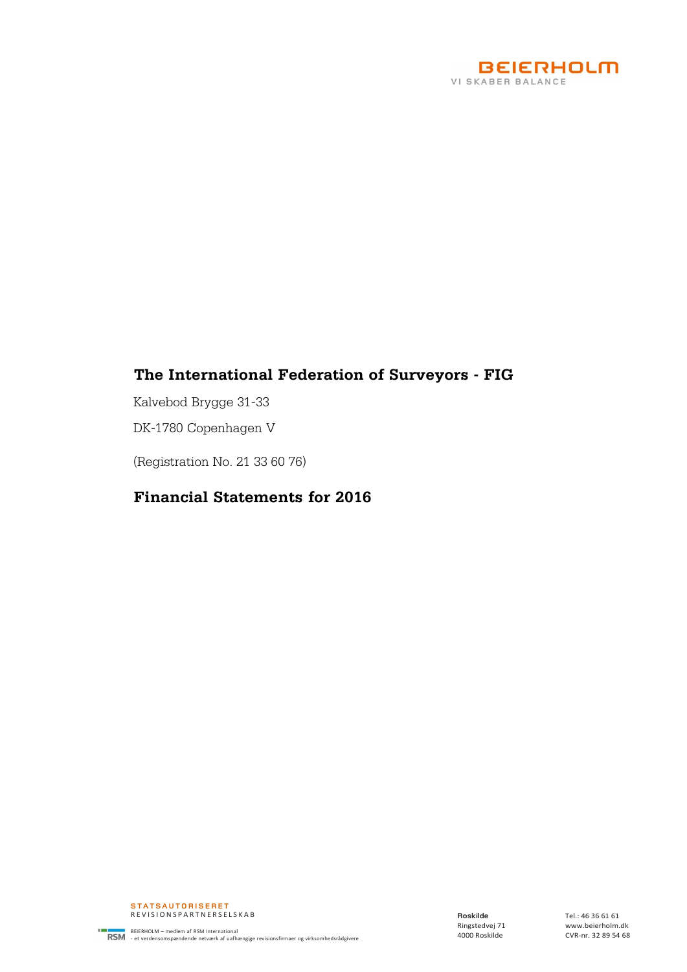

## **The International Federation of Surveyors - FIG**

Kalvebod Brygge 31-33

DK-1780 Copenhagen V

(Registration No. 21 33 60 76)

## **Financial Statements for 2016**

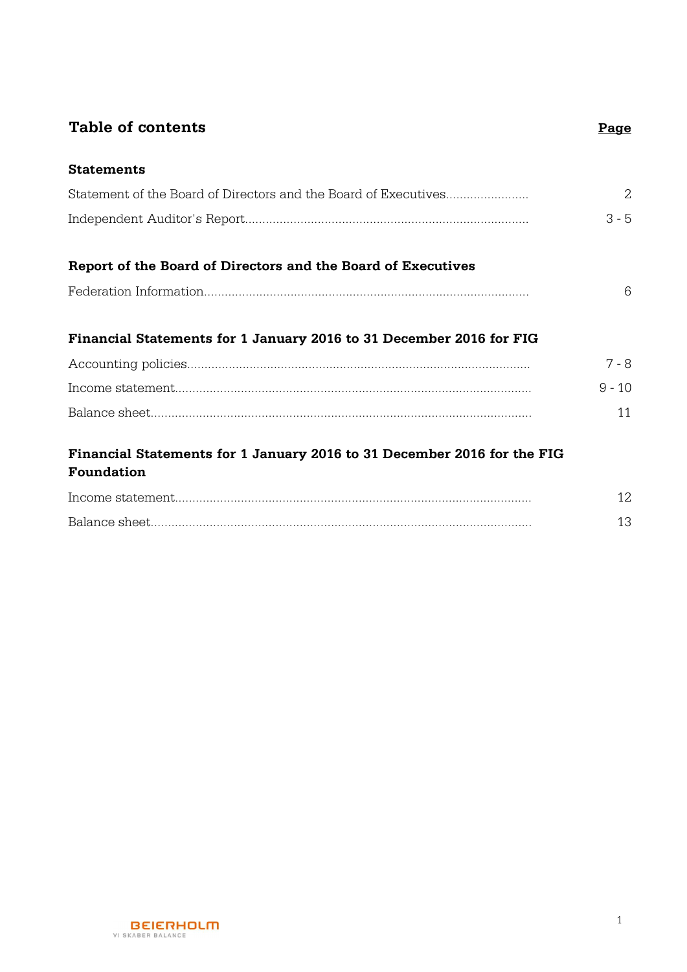## **Table of contents Page**

**Statements**

| Statement of the Board of Directors and the Board of Executives     |          |
|---------------------------------------------------------------------|----------|
|                                                                     | $3 - 5$  |
|                                                                     |          |
| Report of the Board of Directors and the Board of Executives        |          |
|                                                                     | 6        |
|                                                                     |          |
| Financial Statements for 1 January 2016 to 31 December 2016 for FIG |          |
|                                                                     | $7 - 8$  |
|                                                                     | $9 - 10$ |
|                                                                     |          |

## **Financial Statements for 1 January 2016 to 31 December 2016 for the FIG Foundation**

| Income statemen         |  |
|-------------------------|--|
| <b>Balance</b><br>sheet |  |

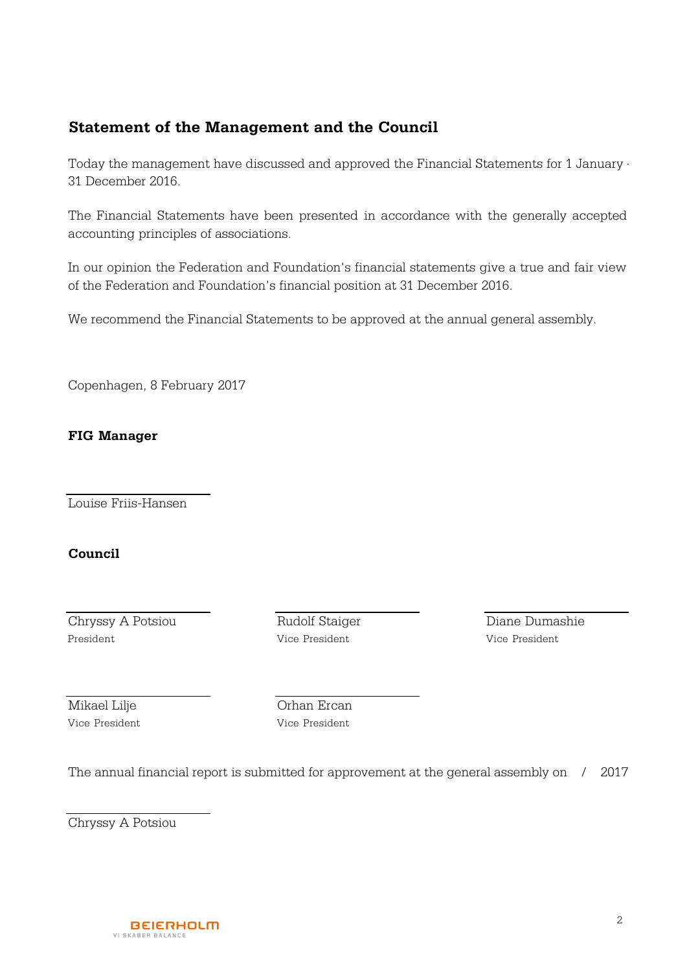## **Statement of the Management and the Council**

Today the management have discussed and approved the Financial Statements for 1 January -31 December 2016.

The Financial Statements have been presented in accordance with the generally accepted accounting principles of associations.

In our opinion the Federation and Foundation's financial statements give a true and fair view of the Federation and Foundation's financial position at 31 December 2016.

We recommend the Financial Statements to be approved at the annual general assembly.

Copenhagen, 8 February 2017

## **FIG Manager**

Louise Friis-Hansen

## **Council**

Chryssy A Potsiou Rudolf Staiger Diane Dumashie President Vice President Vice President

Vice President Vice President

Mikael Lilje **Orhan Ercan** 

The annual financial report is submitted for approvement at the general assembly on / 2017

Chryssy A Potsiou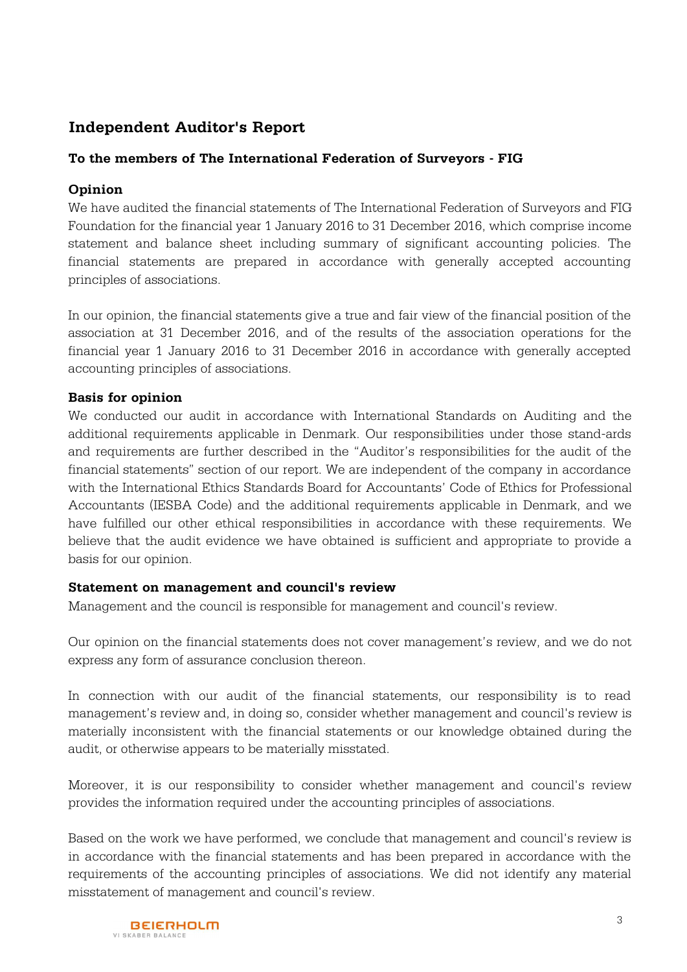## **Independent Auditor's Report**

## **To the members of The International Federation of Surveyors - FIG**

## **Opinion**

We have audited the financial statements of The International Federation of Surveyors and FIG Foundation for the financial year 1 January 2016 to 31 December 2016, which comprise income statement and balance sheet including summary of significant accounting policies. The financial statements are prepared in accordance with generally accepted accounting principles of associations.

In our opinion, the financial statements give a true and fair view of the financial position of the association at 31 December 2016, and of the results of the association operations for the financial year 1 January 2016 to 31 December 2016 in accordance with generally accepted accounting principles of associations.

## **Basis for opinion**

We conducted our audit in accordance with International Standards on Auditing and the additional requirements applicable in Denmark. Our responsibilities under those stand-ards and requirements are further described in the "Auditor's responsibilities for the audit of the financial statements" section of our report. We are independent of the company in accordance with the International Ethics Standards Board for Accountants' Code of Ethics for Professional Accountants (IESBA Code) and the additional requirements applicable in Denmark, and we have fulfilled our other ethical responsibilities in accordance with these requirements. We believe that the audit evidence we have obtained is sufficient and appropriate to provide a basis for our opinion.

#### **Statement on management and council's review**

Management and the council is responsible for management and council's review.

Our opinion on the financial statements does not cover management's review, and we do not express any form of assurance conclusion thereon.

In connection with our audit of the financial statements, our responsibility is to read management's review and, in doing so, consider whether management and council's review is materially inconsistent with the financial statements or our knowledge obtained during the audit, or otherwise appears to be materially misstated.

Moreover, it is our responsibility to consider whether management and council's review provides the information required under the accounting principles of associations.

Based on the work we have performed, we conclude that management and council's review is in accordance with the financial statements and has been prepared in accordance with the requirements of the accounting principles of associations. We did not identify any material misstatement of management and council's review.

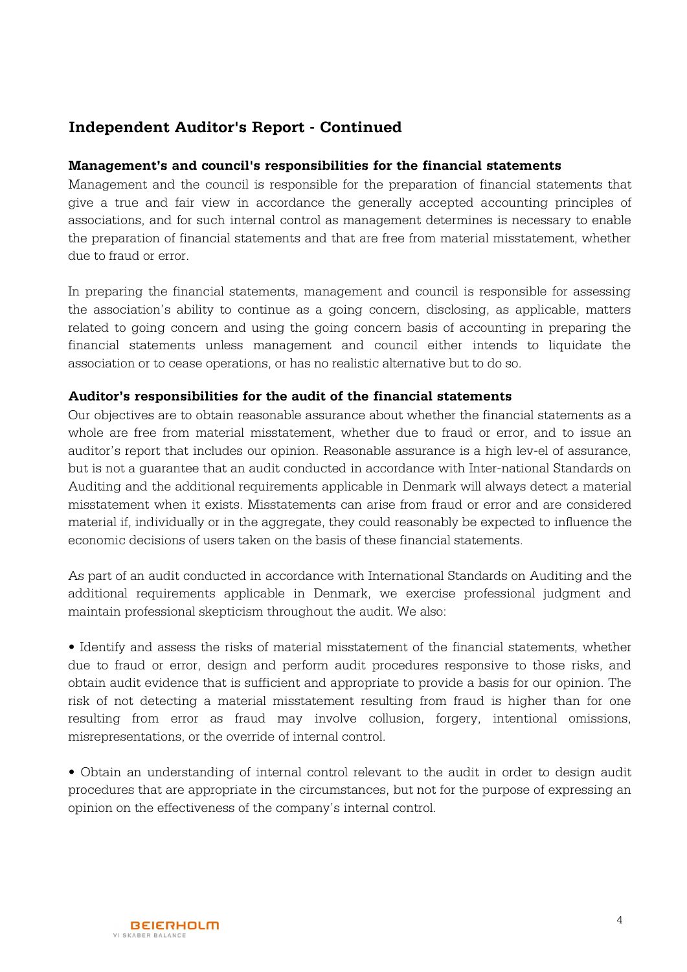## **Independent Auditor's Report - Continued**

### **Management's and council's responsibilities for the financial statements**

Management and the council is responsible for the preparation of financial statements that give a true and fair view in accordance the generally accepted accounting principles of associations, and for such internal control as management determines is necessary to enable the preparation of financial statements and that are free from material misstatement, whether due to fraud or error.

In preparing the financial statements, management and council is responsible for assessing the association's ability to continue as a going concern, disclosing, as applicable, matters related to going concern and using the going concern basis of accounting in preparing the financial statements unless management and council either intends to liquidate the association or to cease operations, or has no realistic alternative but to do so.

#### **Auditor's responsibilities for the audit of the financial statements**

Our objectives are to obtain reasonable assurance about whether the financial statements as a whole are free from material misstatement, whether due to fraud or error, and to issue an auditor's report that includes our opinion. Reasonable assurance is a high lev-el of assurance, but is not a guarantee that an audit conducted in accordance with Inter-national Standards on Auditing and the additional requirements applicable in Denmark will always detect a material misstatement when it exists. Misstatements can arise from fraud or error and are considered material if, individually or in the aggregate, they could reasonably be expected to influence the economic decisions of users taken on the basis of these financial statements.

As part of an audit conducted in accordance with International Standards on Auditing and the additional requirements applicable in Denmark, we exercise professional judgment and maintain professional skepticism throughout the audit. We also:

• Identify and assess the risks of material misstatement of the financial statements, whether due to fraud or error, design and perform audit procedures responsive to those risks, and obtain audit evidence that is sufficient and appropriate to provide a basis for our opinion. The risk of not detecting a material misstatement resulting from fraud is higher than for one resulting from error as fraud may involve collusion, forgery, intentional omissions, misrepresentations, or the override of internal control.

• Obtain an understanding of internal control relevant to the audit in order to design audit procedures that are appropriate in the circumstances, but not for the purpose of expressing an opinion on the effectiveness of the company's internal control.

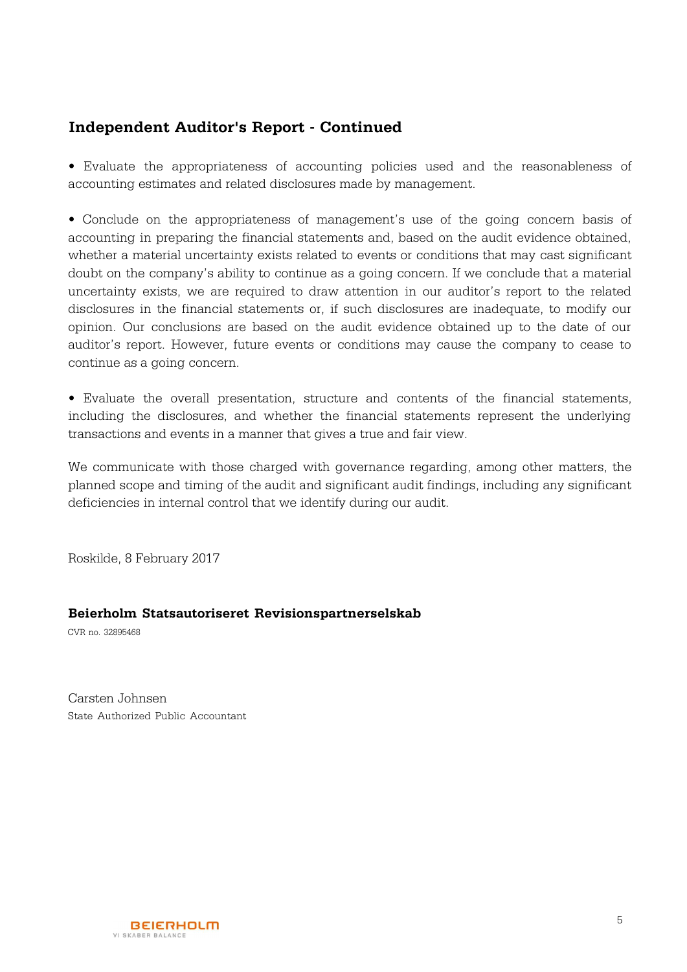## **Independent Auditor's Report - Continued**

• Evaluate the appropriateness of accounting policies used and the reasonableness of accounting estimates and related disclosures made by management.

• Conclude on the appropriateness of management's use of the going concern basis of accounting in preparing the financial statements and, based on the audit evidence obtained, whether a material uncertainty exists related to events or conditions that may cast significant doubt on the company's ability to continue as a going concern. If we conclude that a material uncertainty exists, we are required to draw attention in our auditor's report to the related disclosures in the financial statements or, if such disclosures are inadequate, to modify our opinion. Our conclusions are based on the audit evidence obtained up to the date of our auditor's report. However, future events or conditions may cause the company to cease to continue as a going concern.

• Evaluate the overall presentation, structure and contents of the financial statements, including the disclosures, and whether the financial statements represent the underlying transactions and events in a manner that gives a true and fair view.

We communicate with those charged with governance regarding, among other matters, the planned scope and timing of the audit and significant audit findings, including any significant deficiencies in internal control that we identify during our audit.

Roskilde, 8 February 2017

#### **Beierholm Statsautoriseret Revisionspartnerselskab**

CVR no. 32895468

Carsten Johnsen State Authorized Public Accountant

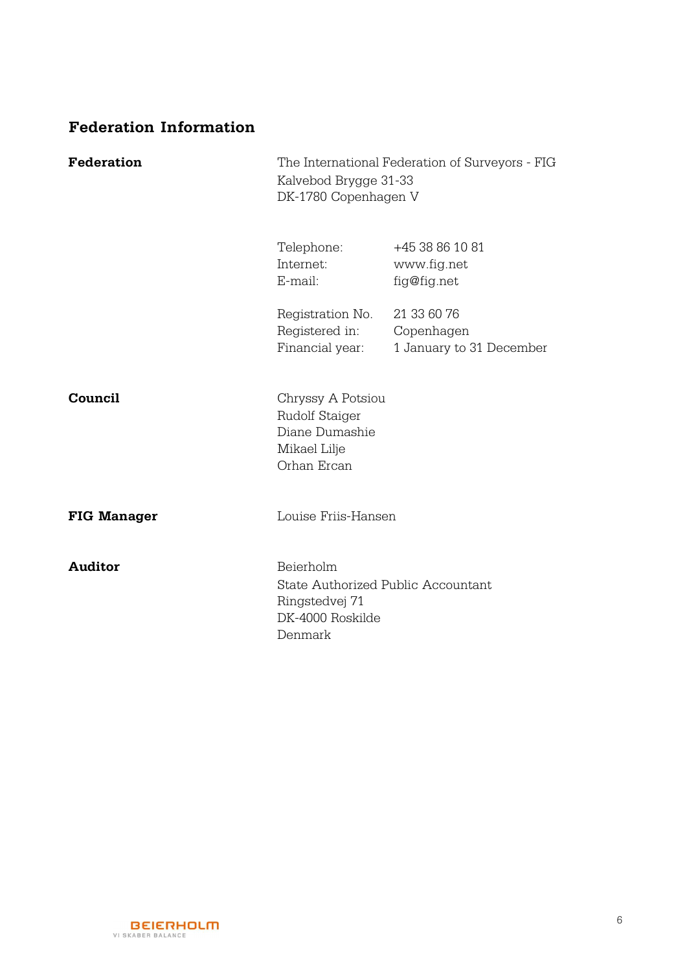## **Federation Information**

| <b>Federation</b>  | The International Federation of Surveyors - FIG<br>Kalvebod Brygge 31-33<br>DK-1780 Copenhagen V |                                                       |
|--------------------|--------------------------------------------------------------------------------------------------|-------------------------------------------------------|
|                    | Telephone:<br>Internet:<br>E-mail:                                                               | +45 38 86 10 81<br>www.fig.net<br>fig@fig.net         |
|                    | Registration No.<br>Registered in:<br>Financial year:                                            | 21 33 60 76<br>Copenhagen<br>1 January to 31 December |
| Council            | Chryssy A Potsiou<br>Rudolf Staiger<br>Diane Dumashie<br>Mikael Lilje<br>Orhan Ercan             |                                                       |
| <b>FIG Manager</b> | Louise Friis-Hansen                                                                              |                                                       |
| <b>Auditor</b>     | Beierholm<br>State Authorized Public Accountant<br>Ringstedvej 71<br>DK-4000 Roskilde<br>Denmark |                                                       |

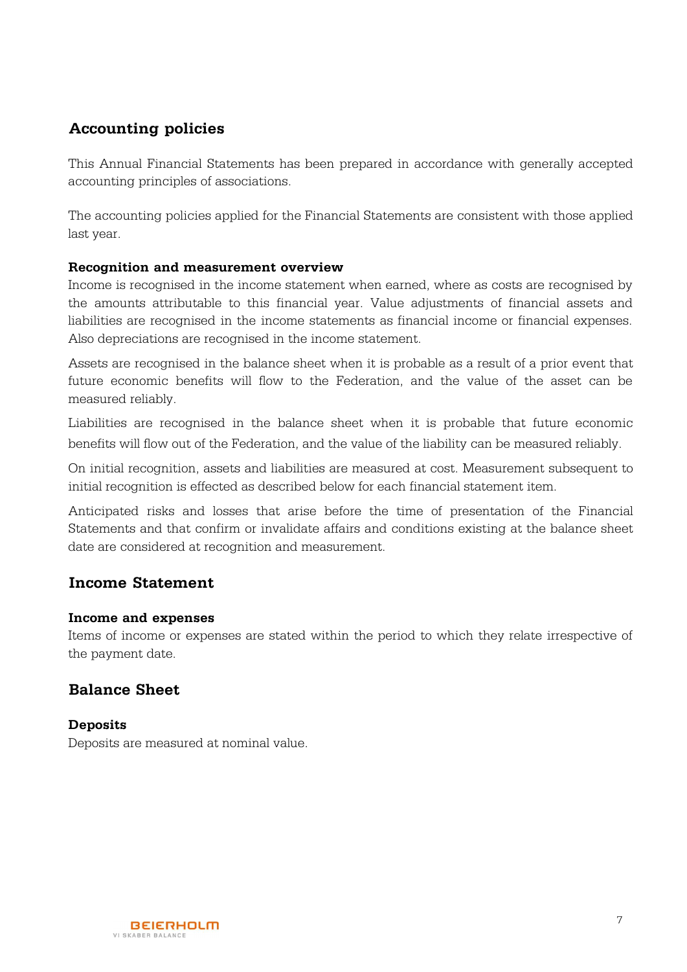## **Accounting policies**

This Annual Financial Statements has been prepared in accordance with generally accepted accounting principles of associations.

The accounting policies applied for the Financial Statements are consistent with those applied last year.

#### **Recognition and measurement overview**

Income is recognised in the income statement when earned, where as costs are recognised by the amounts attributable to this financial year. Value adjustments of financial assets and liabilities are recognised in the income statements as financial income or financial expenses. Also depreciations are recognised in the income statement.

Assets are recognised in the balance sheet when it is probable as a result of a prior event that future economic benefits will flow to the Federation, and the value of the asset can be measured reliably.

Liabilities are recognised in the balance sheet when it is probable that future economic benefits will flow out of the Federation, and the value of the liability can be measured reliably.

On initial recognition, assets and liabilities are measured at cost. Measurement subsequent to initial recognition is effected as described below for each financial statement item.

Anticipated risks and losses that arise before the time of presentation of the Financial Statements and that confirm or invalidate affairs and conditions existing at the balance sheet date are considered at recognition and measurement.

## **Income Statement**

#### **Income and expenses**

Items of income or expenses are stated within the period to which they relate irrespective of the payment date.

## **Balance Sheet**

**Deposits** Deposits are measured at nominal value.

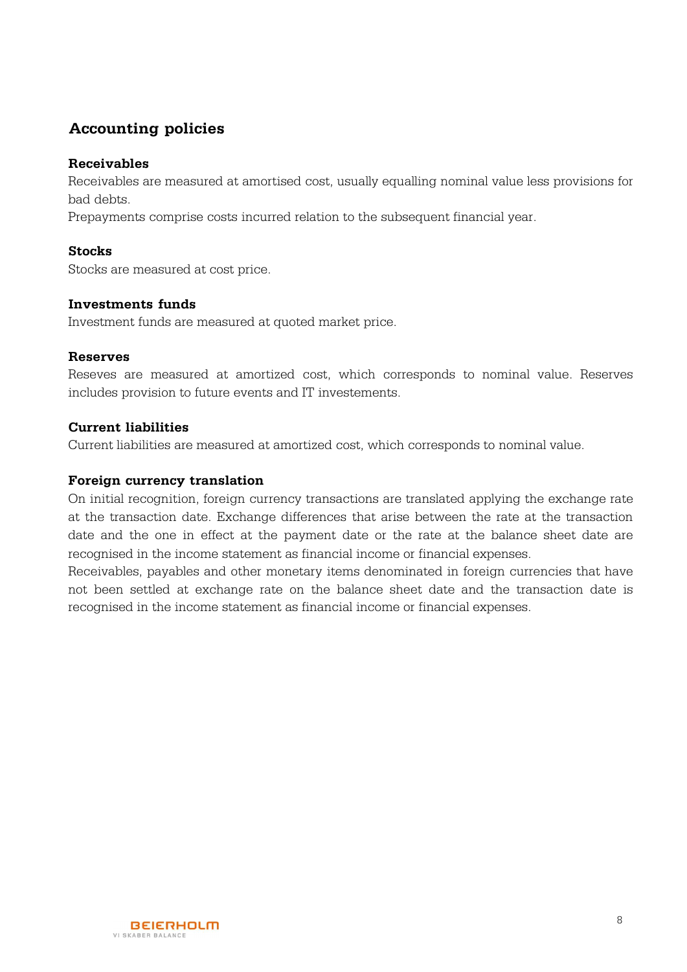## **Accounting policies**

#### **Receivables**

Receivables are measured at amortised cost, usually equalling nominal value less provisions for bad debts.

Prepayments comprise costs incurred relation to the subsequent financial year.

#### **Stocks**

Stocks are measured at cost price.

#### **Investments funds**

Investment funds are measured at quoted market price.

#### **Reserves**

Reseves are measured at amortized cost, which corresponds to nominal value. Reserves includes provision to future events and IT investements.

#### **Current liabilities**

Current liabilities are measured at amortized cost, which corresponds to nominal value.

#### **Foreign currency translation**

On initial recognition, foreign currency transactions are translated applying the exchange rate at the transaction date. Exchange differences that arise between the rate at the transaction date and the one in effect at the payment date or the rate at the balance sheet date are recognised in the income statement as financial income or financial expenses.

Receivables, payables and other monetary items denominated in foreign currencies that have not been settled at exchange rate on the balance sheet date and the transaction date is recognised in the income statement as financial income or financial expenses.

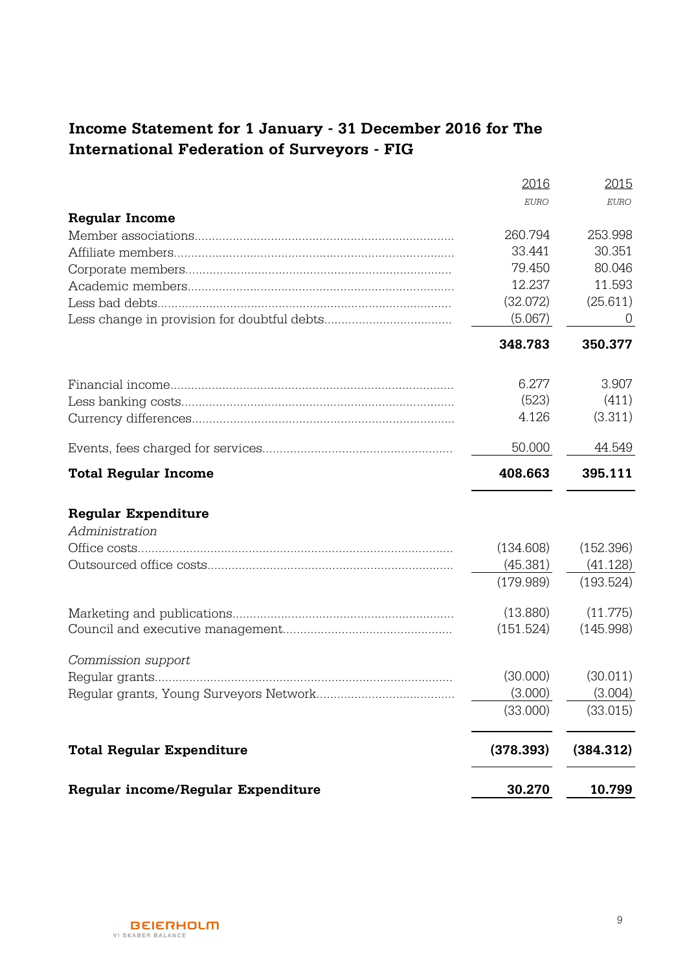# **Income Statement for 1 January - 31 December 2016 for The International Federation of Surveyors - FIG**

|                                    | 2016      | 2015      |
|------------------------------------|-----------|-----------|
|                                    | EURO      | EURO      |
| <b>Regular Income</b>              |           |           |
|                                    | 260.794   | 253.998   |
|                                    | 33.441    | 30.351    |
|                                    | 79.450    | 80.046    |
|                                    | 12.237    | 11.593    |
|                                    | (32.072)  | (25.611)  |
|                                    | (5.067)   | $\cup$    |
|                                    | 348.783   | 350.377   |
|                                    | 6.277     | 3.907     |
|                                    | (523)     | (411)     |
|                                    | 4.126     | (3.311)   |
|                                    | 50.000    | 44.549    |
| <b>Total Regular Income</b>        | 408.663   | 395.111   |
| <b>Regular Expenditure</b>         |           |           |
| Administration                     |           |           |
|                                    | (134.608) | (152.396) |
|                                    | (45.381)  | (41.128)  |
|                                    | (179.989) | (193.524) |
|                                    | (13.880)  | (11.775)  |
|                                    | (151.524) | (145.998) |
| Commission support                 |           |           |
|                                    | (30.000)  | (30.011)  |
|                                    | (3.000)   | (3.004)   |
|                                    | (33.000)  | (33.015)  |
| <b>Total Regular Expenditure</b>   | (378.393) | (384.312) |
| Regular income/Regular Expenditure | 30.270    | 10.799    |

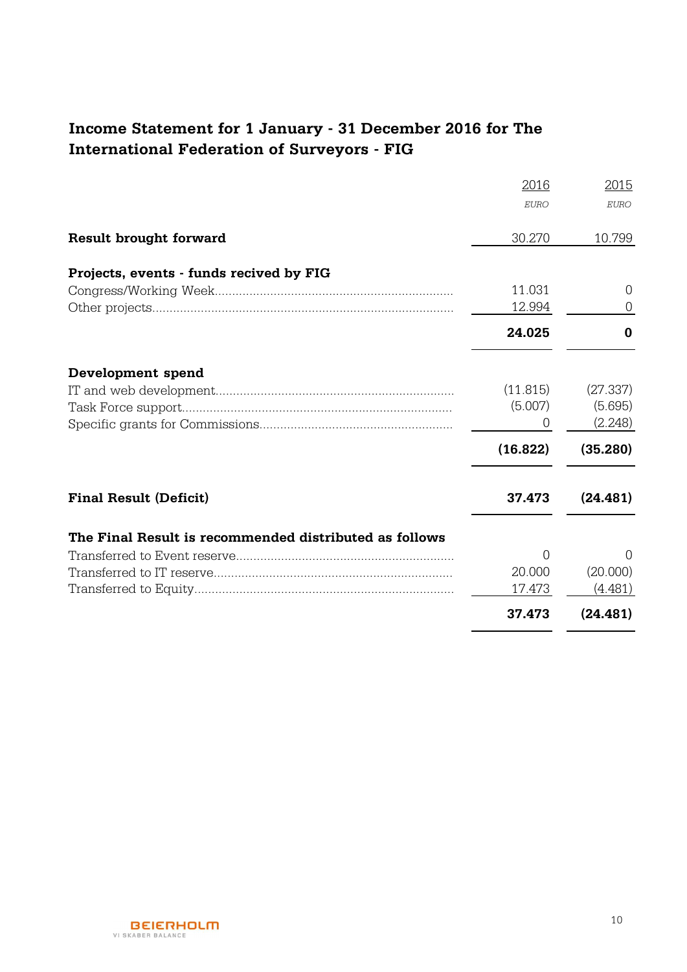# **Income Statement for 1 January - 31 December 2016 for The International Federation of Surveyors - FIG**

|                                                        | 2016        | 2015        |
|--------------------------------------------------------|-------------|-------------|
|                                                        | <b>EURO</b> | <b>EURO</b> |
| <b>Result brought forward</b>                          | 30.270      | 10.799      |
| Projects, events - funds recived by FIG                |             |             |
|                                                        | 11.031      | $\Omega$    |
|                                                        | 12.994      | $\cup$      |
|                                                        | 24.025      | 0           |
| Development spend                                      |             |             |
|                                                        | (11.815)    | (27.337)    |
|                                                        | (5.007)     | (5.695)     |
|                                                        | O           | (2.248)     |
|                                                        | (16.822)    | (35.280)    |
| <b>Final Result (Deficit)</b>                          | 37.473      | (24.481)    |
| The Final Result is recommended distributed as follows |             |             |
|                                                        | O           | $\Omega$    |
|                                                        | 20,000      | (20.000)    |
|                                                        | 17.473      | (4.481)     |
|                                                        | 37.473      | (24.481)    |

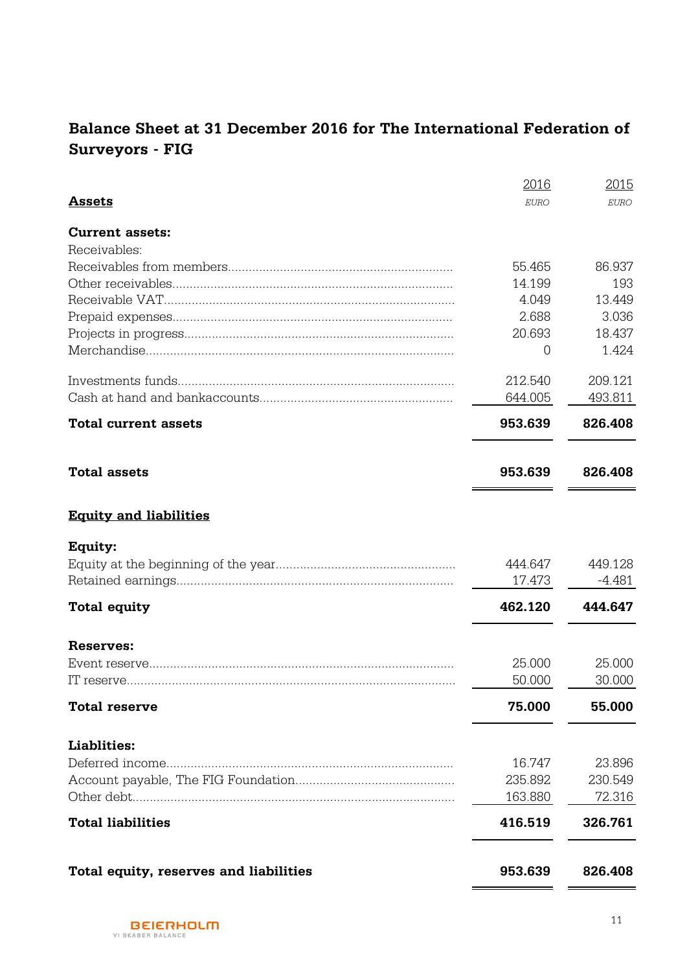# **Balance Sheet at 31 December 2016 for The International Federation of Surveyors - FIG**

|                                        | 2016        | 2015        |
|----------------------------------------|-------------|-------------|
| <b>Assets</b>                          | <b>EURO</b> | <b>EURO</b> |
| <b>Current assets:</b>                 |             |             |
| Receivables:                           |             |             |
|                                        | 55.465      | 86.937      |
|                                        | 14.199      | 193         |
|                                        | 4.049       | 13.449      |
|                                        | 2.688       | 3.036       |
|                                        | 20.693      | 18.437      |
|                                        | 0           | 1.424       |
|                                        | 212.540     | 209.121     |
|                                        | 644.005     | 493.811     |
| <b>Total current assets</b>            | 953.639     | 826.408     |
| <b>Total assets</b>                    | 953.639     | 826.408     |
| <b>Equity and liabilities</b>          |             |             |
| Equity:                                |             |             |
|                                        | 444.647     | 449.128     |
|                                        | 17.473      | $-4.481$    |
| <b>Total equity</b>                    | 462.120     | 444.647     |
| Reserves:                              |             |             |
|                                        | 25.000      | 25.000      |
|                                        | 50.000      | 30.000      |
| <b>Total reserve</b>                   | 75.000      | 55.000      |
| Liablities:                            |             |             |
|                                        | 16.747      | 23.896      |
|                                        | 235.892     | 230.549     |
|                                        | 163.880     | 72.316      |
| <b>Total liabilities</b>               | 416.519     | 326.761     |
| Total equity, reserves and liabilities | 953.639     | 826.408     |
|                                        |             |             |

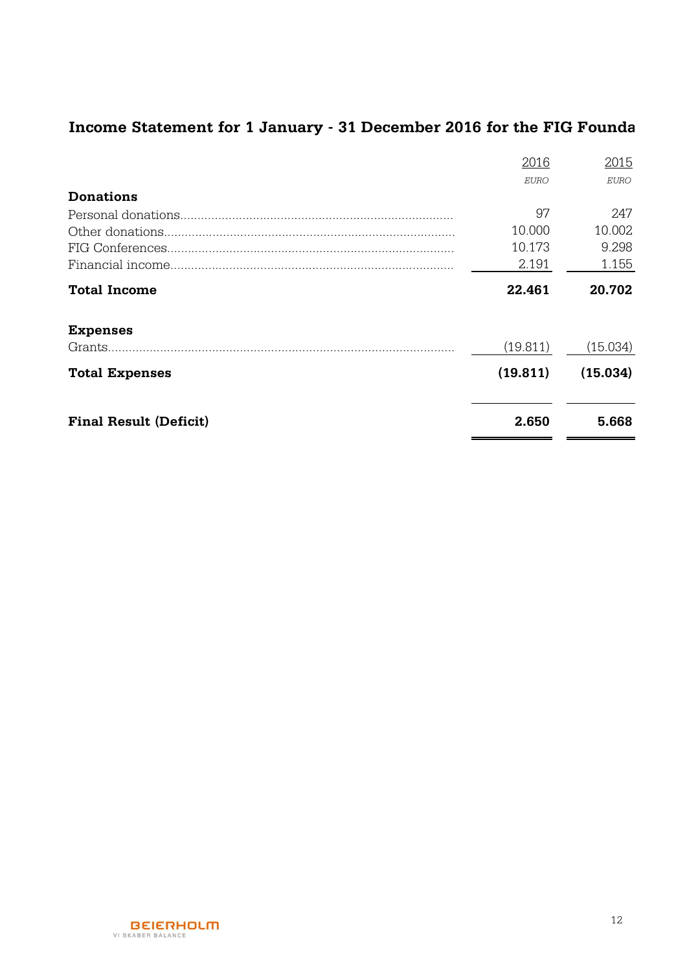# Income Statement for 1 January - 31 December 2016 for the FIG Founda

|                               | 2016        | 2015     |
|-------------------------------|-------------|----------|
|                               | <b>EURO</b> | EURO     |
| <b>Donations</b>              |             |          |
|                               | 97          | 247      |
|                               | 10.000      | 10.002   |
|                               | 10.173      | 9.298    |
|                               | 2.191       | 1.155    |
| <b>Total Income</b>           | 22.461      | 20.702   |
| <b>Expenses</b>               |             |          |
|                               | (19.811)    | (15.034) |
| <b>Total Expenses</b>         | (19.811)    | (15.034) |
| <b>Final Result (Deficit)</b> | 2.650       | 5.668    |